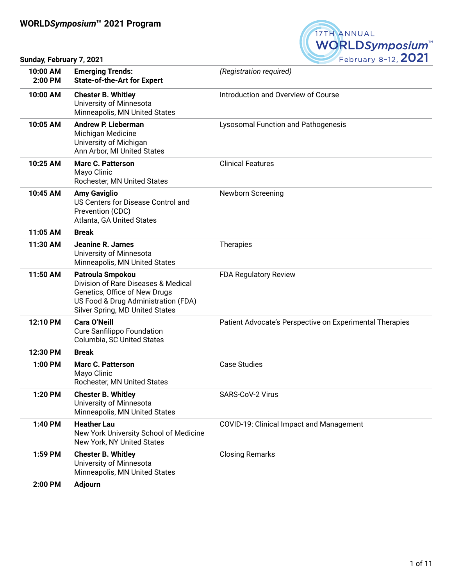

**Sunday, February 7, 2021**

| 10:00 AM<br>2:00 PM | <b>Emerging Trends:</b><br><b>State-of-the-Art for Expert</b>                                                                                                      | (Registration required)                                  |
|---------------------|--------------------------------------------------------------------------------------------------------------------------------------------------------------------|----------------------------------------------------------|
| 10:00 AM            | <b>Chester B. Whitley</b><br>University of Minnesota<br>Minneapolis, MN United States                                                                              | Introduction and Overview of Course                      |
| 10:05 AM            | <b>Andrew P. Lieberman</b><br>Michigan Medicine<br>University of Michigan<br>Ann Arbor, MI United States                                                           | Lysosomal Function and Pathogenesis                      |
| 10:25 AM            | <b>Marc C. Patterson</b><br>Mayo Clinic<br>Rochester, MN United States                                                                                             | <b>Clinical Features</b>                                 |
| 10:45 AM            | <b>Amy Gaviglio</b><br>US Centers for Disease Control and<br>Prevention (CDC)<br>Atlanta, GA United States                                                         | Newborn Screening                                        |
| 11:05 AM            | <b>Break</b>                                                                                                                                                       |                                                          |
| 11:30 AM            | Jeanine R. Jarnes<br>University of Minnesota<br>Minneapolis, MN United States                                                                                      | <b>Therapies</b>                                         |
| 11:50 AM            | Patroula Smpokou<br>Division of Rare Diseases & Medical<br>Genetics, Office of New Drugs<br>US Food & Drug Administration (FDA)<br>Silver Spring, MD United States | FDA Regulatory Review                                    |
| 12:10 PM            | <b>Cara O'Neill</b><br><b>Cure Sanfilippo Foundation</b><br>Columbia, SC United States                                                                             | Patient Advocate's Perspective on Experimental Therapies |
| 12:30 PM            | <b>Break</b>                                                                                                                                                       |                                                          |
| 1:00 PM             | <b>Marc C. Patterson</b><br>Mayo Clinic<br>Rochester, MN United States                                                                                             | <b>Case Studies</b>                                      |
| 1:20 PM             | <b>Chester B. Whitley</b><br>University of Minnesota<br>Minneapolis, MN United States                                                                              | SARS-CoV-2 Virus                                         |
| 1:40 PM             | <b>Heather Lau</b><br>New York University School of Medicine<br>New York, NY United States                                                                         | COVID-19: Clinical Impact and Management                 |
| 1:59 PM             | <b>Chester B. Whitley</b><br>University of Minnesota<br>Minneapolis, MN United States                                                                              | <b>Closing Remarks</b>                                   |
| 2:00 PM             | <b>Adjourn</b>                                                                                                                                                     |                                                          |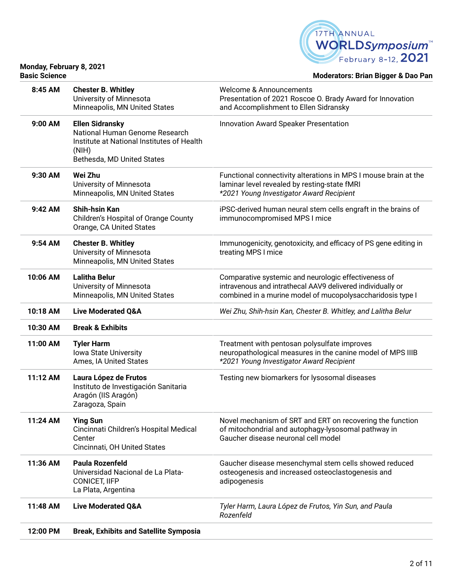

# **Monday, February 8, 2021**

**Basic Science Moderators: Brian Bigger & Dao Pan**

| 8:45 AM  | <b>Chester B. Whitley</b>                                                                                                                     | Welcome & Announcements                                                                                                                                                          |
|----------|-----------------------------------------------------------------------------------------------------------------------------------------------|----------------------------------------------------------------------------------------------------------------------------------------------------------------------------------|
|          | University of Minnesota<br>Minneapolis, MN United States                                                                                      | Presentation of 2021 Roscoe O. Brady Award for Innovation<br>and Accomplishment to Ellen Sidransky                                                                               |
| 9:00 AM  | <b>Ellen Sidransky</b><br>National Human Genome Research<br>Institute at National Institutes of Health<br>(NIH)<br>Bethesda, MD United States | Innovation Award Speaker Presentation                                                                                                                                            |
| 9:30 AM  | Wei Zhu<br>University of Minnesota<br>Minneapolis, MN United States                                                                           | Functional connectivity alterations in MPS I mouse brain at the<br>laminar level revealed by resting-state fMRI<br>*2021 Young Investigator Award Recipient                      |
| 9:42 AM  | <b>Shih-hsin Kan</b><br>Children's Hospital of Orange County<br>Orange, CA United States                                                      | iPSC-derived human neural stem cells engraft in the brains of<br>immunocompromised MPS I mice                                                                                    |
| 9:54 AM  | <b>Chester B. Whitley</b><br>University of Minnesota<br>Minneapolis, MN United States                                                         | Immunogenicity, genotoxicity, and efficacy of PS gene editing in<br>treating MPS I mice                                                                                          |
| 10:06 AM | <b>Lalitha Belur</b><br>University of Minnesota<br>Minneapolis, MN United States                                                              | Comparative systemic and neurologic effectiveness of<br>intravenous and intrathecal AAV9 delivered individually or<br>combined in a murine model of mucopolysaccharidosis type I |
| 10:18 AM | <b>Live Moderated Q&amp;A</b>                                                                                                                 | Wei Zhu, Shih-hsin Kan, Chester B. Whitley, and Lalitha Belur                                                                                                                    |
| 10:30 AM | <b>Break &amp; Exhibits</b>                                                                                                                   |                                                                                                                                                                                  |
| 11:00 AM | <b>Tyler Harm</b><br>Iowa State University<br>Ames, IA United States                                                                          | Treatment with pentosan polysulfate improves<br>neuropathological measures in the canine model of MPS IIIB<br>*2021 Young Investigator Award Recipient                           |
| 11:12 AM | Laura López de Frutos<br>Instituto de Investigación Sanitaria<br>Aragón (IIS Aragón)<br>Zaragoza, Spain                                       | Testing new biomarkers for lysosomal diseases                                                                                                                                    |
| 11:24 AM | <b>Ying Sun</b><br>Cincinnati Children's Hospital Medical<br>Center<br>Cincinnati, OH United States                                           | Novel mechanism of SRT and ERT on recovering the function<br>of mitochondrial and autophagy-lysosomal pathway in<br>Gaucher disease neuronal cell model                          |
| 11:36 AM | <b>Paula Rozenfeld</b><br>Universidad Nacional de La Plata-<br><b>CONICET, IIFP</b><br>La Plata, Argentina                                    | Gaucher disease mesenchymal stem cells showed reduced<br>osteogenesis and increased osteoclastogenesis and<br>adipogenesis                                                       |
| 11:48 AM | <b>Live Moderated Q&amp;A</b>                                                                                                                 | Tyler Harm, Laura López de Frutos, Yin Sun, and Paula<br>Rozenfeld                                                                                                               |
| 12:00 PM | <b>Break, Exhibits and Satellite Symposia</b>                                                                                                 |                                                                                                                                                                                  |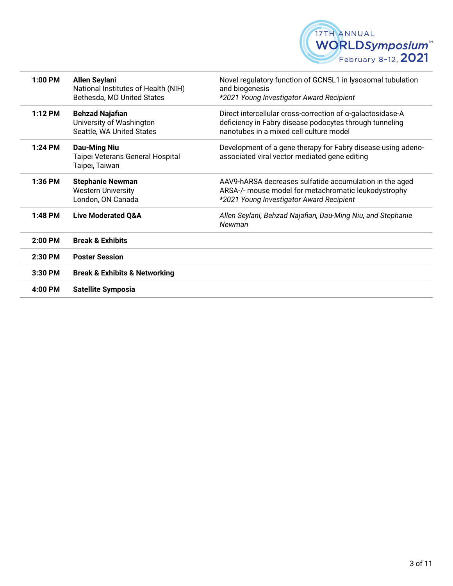

| $1:00$ PM | <b>Allen Seylani</b><br>National Institutes of Health (NIH)<br>Bethesda, MD United States | Novel regulatory function of GCN5L1 in lysosomal tubulation<br>and biogenesis<br>*2021 Young Investigator Award Recipient                                        |
|-----------|-------------------------------------------------------------------------------------------|------------------------------------------------------------------------------------------------------------------------------------------------------------------|
| 1:12 PM   | <b>Behzad Najafian</b><br>University of Washington<br>Seattle, WA United States           | Direct intercellular cross-correction of a-galactosidase-A<br>deficiency in Fabry disease podocytes through tunneling<br>nanotubes in a mixed cell culture model |
| 1:24 PM   | <b>Dau-Ming Niu</b><br>Taipei Veterans General Hospital<br>Taipei, Taiwan                 | Development of a gene therapy for Fabry disease using adeno-<br>associated viral vector mediated gene editing                                                    |
| 1:36 PM   | <b>Stephanie Newman</b><br><b>Western University</b><br>London, ON Canada                 | AAV9-hARSA decreases sulfatide accumulation in the aged<br>ARSA-/- mouse model for metachromatic leukodystrophy<br>*2021 Young Investigator Award Recipient      |
| 1:48 PM   | <b>Live Moderated Q&amp;A</b>                                                             | Allen Seylani, Behzad Najafian, Dau-Ming Niu, and Stephanie<br>Newman                                                                                            |
| $2:00$ PM | <b>Break &amp; Exhibits</b>                                                               |                                                                                                                                                                  |
| $2:30$ PM | <b>Poster Session</b>                                                                     |                                                                                                                                                                  |
| $3:30$ PM | <b>Break &amp; Exhibits &amp; Networking</b>                                              |                                                                                                                                                                  |
| 4:00 PM   | <b>Satellite Symposia</b>                                                                 |                                                                                                                                                                  |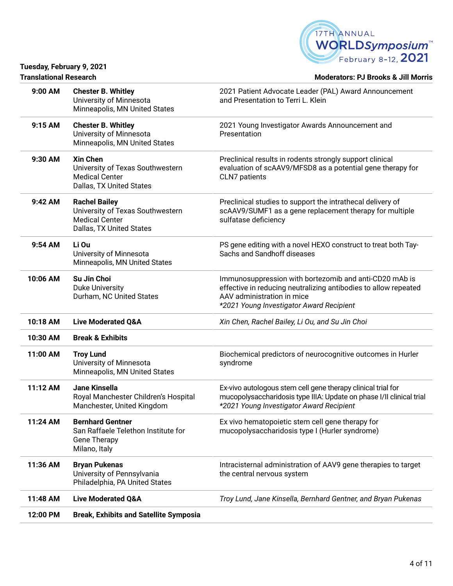

### **Tuesday, February 9, 2021**

**Translational Research Community Community Community Community Community Community Community Community Community Community Community Community Community Community Community Community Community Community Community Communit** 

| 9:00 AM  | <b>Chester B. Whitley</b><br>University of Minnesota<br>Minneapolis, MN United States                         | 2021 Patient Advocate Leader (PAL) Award Announcement<br>and Presentation to Terri L. Klein                                                                                                         |
|----------|---------------------------------------------------------------------------------------------------------------|-----------------------------------------------------------------------------------------------------------------------------------------------------------------------------------------------------|
| 9:15 AM  | <b>Chester B. Whitley</b><br>University of Minnesota<br>Minneapolis, MN United States                         | 2021 Young Investigator Awards Announcement and<br>Presentation                                                                                                                                     |
| 9:30 AM  | <b>Xin Chen</b><br>University of Texas Southwestern<br><b>Medical Center</b><br>Dallas, TX United States      | Preclinical results in rodents strongly support clinical<br>evaluation of scAAV9/MFSD8 as a potential gene therapy for<br>CLN7 patients                                                             |
| 9:42 AM  | <b>Rachel Bailey</b><br>University of Texas Southwestern<br><b>Medical Center</b><br>Dallas, TX United States | Preclinical studies to support the intrathecal delivery of<br>scAAV9/SUMF1 as a gene replacement therapy for multiple<br>sulfatase deficiency                                                       |
| 9:54 AM  | Li Ou<br>University of Minnesota<br>Minneapolis, MN United States                                             | PS gene editing with a novel HEXO construct to treat both Tay-<br>Sachs and Sandhoff diseases                                                                                                       |
| 10:06 AM | Su Jin Choi<br><b>Duke University</b><br>Durham, NC United States                                             | Immunosuppression with bortezomib and anti-CD20 mAb is<br>effective in reducing neutralizing antibodies to allow repeated<br>AAV administration in mice<br>*2021 Young Investigator Award Recipient |
| 10:18 AM | <b>Live Moderated Q&amp;A</b>                                                                                 | Xin Chen, Rachel Bailey, Li Ou, and Su Jin Choi                                                                                                                                                     |
| 10:30 AM | <b>Break &amp; Exhibits</b>                                                                                   |                                                                                                                                                                                                     |
| 11:00 AM | <b>Troy Lund</b><br>University of Minnesota<br>Minneapolis, MN United States                                  | Biochemical predictors of neurocognitive outcomes in Hurler<br>syndrome                                                                                                                             |
| 11:12 AM | Jane Kinsella<br>Royal Manchester Children's Hospital<br>Manchester, United Kingdom                           | Ex-vivo autologous stem cell gene therapy clinical trial for<br>mucopolysaccharidosis type IIIA: Update on phase I/II clinical trial<br>*2021 Young Investigator Award Recipient                    |
| 11:24 AM | <b>Bernhard Gentner</b><br>San Raffaele Telethon Institute for<br><b>Gene Therapy</b><br>Milano, Italy        | Ex vivo hematopoietic stem cell gene therapy for<br>mucopolysaccharidosis type I (Hurler syndrome)                                                                                                  |
| 11:36 AM | <b>Bryan Pukenas</b><br>University of Pennsylvania<br>Philadelphia, PA United States                          | Intracisternal administration of AAV9 gene therapies to target<br>the central nervous system                                                                                                        |
| 11:48 AM | <b>Live Moderated Q&amp;A</b>                                                                                 | Troy Lund, Jane Kinsella, Bernhard Gentner, and Bryan Pukenas                                                                                                                                       |
| 12:00 PM | <b>Break, Exhibits and Satellite Symposia</b>                                                                 |                                                                                                                                                                                                     |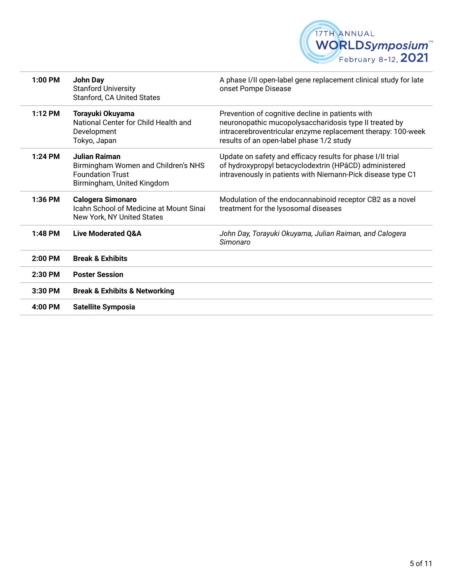

| $1:00$ PM | John Day<br><b>Stanford University</b><br>Stanford, CA United States                                          | A phase I/II open-label gene replacement clinical study for late<br>onset Pompe Disease                                                                                                                                |
|-----------|---------------------------------------------------------------------------------------------------------------|------------------------------------------------------------------------------------------------------------------------------------------------------------------------------------------------------------------------|
| $1:12$ PM | Torayuki Okuyama<br>National Center for Child Health and<br>Development<br>Tokyo, Japan                       | Prevention of cognitive decline in patients with<br>neuronopathic mucopolysaccharidosis type II treated by<br>intracerebroventricular enzyme replacement therapy: 100-week<br>results of an open-label phase 1/2 study |
| 1:24 PM   | Julian Raiman<br>Birmingham Women and Children's NHS<br><b>Foundation Trust</b><br>Birmingham, United Kingdom | Update on safety and efficacy results for phase I/II trial<br>of hydroxypropyl betacyclodextrin (HPâCD) administered<br>intravenously in patients with Niemann-Pick disease type C1                                    |
| $1:36$ PM | <b>Calogera Simonaro</b><br>Icahn School of Medicine at Mount Sinai<br>New York, NY United States             | Modulation of the endocannabinoid receptor CB2 as a novel<br>treatment for the lysosomal diseases                                                                                                                      |
| 1:48 PM   | <b>Live Moderated Q&amp;A</b>                                                                                 | John Day, Torayuki Okuyama, Julian Raiman, and Calogera<br>Simonaro                                                                                                                                                    |
| $2:00$ PM | <b>Break &amp; Exhibits</b>                                                                                   |                                                                                                                                                                                                                        |
| 2:30 PM   | <b>Poster Session</b>                                                                                         |                                                                                                                                                                                                                        |
| 3:30 PM   | <b>Break &amp; Exhibits &amp; Networking</b>                                                                  |                                                                                                                                                                                                                        |
| 4:00 PM   | <b>Satellite Symposia</b>                                                                                     |                                                                                                                                                                                                                        |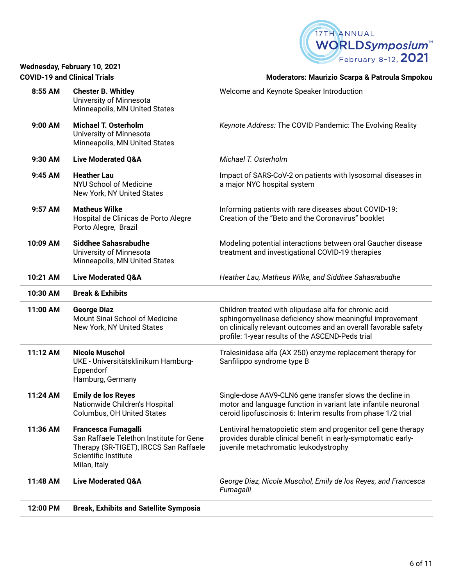

## **Wednesday, February 10, 2021**

|  | COVID-19 and Clinical Trials |  |
|--|------------------------------|--|
|  |                              |  |

**COVID-19 and Clinical Trials Moderators: Maurizio Scarpa & Patroula Smpokou**

| 8:55 AM  | <b>Chester B. Whitley</b><br>University of Minnesota<br>Minneapolis, MN United States                                                                    | Welcome and Keynote Speaker Introduction                                                                                                                                                                                                |
|----------|----------------------------------------------------------------------------------------------------------------------------------------------------------|-----------------------------------------------------------------------------------------------------------------------------------------------------------------------------------------------------------------------------------------|
| 9:00 AM  | <b>Michael T. Osterholm</b><br>University of Minnesota<br>Minneapolis, MN United States                                                                  | Keynote Address: The COVID Pandemic: The Evolving Reality                                                                                                                                                                               |
| 9:30 AM  | <b>Live Moderated Q&amp;A</b>                                                                                                                            | Michael T. Osterholm                                                                                                                                                                                                                    |
| 9:45 AM  | <b>Heather Lau</b><br>NYU School of Medicine<br>New York, NY United States                                                                               | Impact of SARS-CoV-2 on patients with lysosomal diseases in<br>a major NYC hospital system                                                                                                                                              |
| 9:57 AM  | <b>Matheus Wilke</b><br>Hospital de Clinicas de Porto Alegre<br>Porto Alegre, Brazil                                                                     | Informing patients with rare diseases about COVID-19:<br>Creation of the "Beto and the Coronavirus" booklet                                                                                                                             |
| 10:09 AM | <b>Siddhee Sahasrabudhe</b><br>University of Minnesota<br>Minneapolis, MN United States                                                                  | Modeling potential interactions between oral Gaucher disease<br>treatment and investigational COVID-19 therapies                                                                                                                        |
| 10:21 AM | <b>Live Moderated Q&amp;A</b>                                                                                                                            | Heather Lau, Matheus Wilke, and Siddhee Sahasrabudhe                                                                                                                                                                                    |
| 10:30 AM | <b>Break &amp; Exhibits</b>                                                                                                                              |                                                                                                                                                                                                                                         |
| 11:00 AM | <b>George Diaz</b><br>Mount Sinai School of Medicine<br>New York, NY United States                                                                       | Children treated with olipudase alfa for chronic acid<br>sphingomyelinase deficiency show meaningful improvement<br>on clinically relevant outcomes and an overall favorable safety<br>profile: 1-year results of the ASCEND-Peds trial |
| 11:12 AM | <b>Nicole Muschol</b><br>UKE - Universitätsklinikum Hamburg-<br>Eppendorf<br>Hamburg, Germany                                                            | Tralesinidase alfa (AX 250) enzyme replacement therapy for<br>Sanfilippo syndrome type B                                                                                                                                                |
| 11:24 AM | <b>Emily de los Reyes</b><br>Nationwide Children's Hospital<br>Columbus, OH United States                                                                | Single-dose AAV9-CLN6 gene transfer slows the decline in<br>motor and language function in variant late infantile neuronal<br>ceroid lipofuscinosis 6: Interim results from phase 1/2 trial                                             |
| 11:36 AM | <b>Francesca Fumagalli</b><br>San Raffaele Telethon Institute for Gene<br>Therapy (SR-TIGET), IRCCS San Raffaele<br>Scientific Institute<br>Milan, Italy | Lentiviral hematopoietic stem and progenitor cell gene therapy<br>provides durable clinical benefit in early-symptomatic early-<br>juvenile metachromatic leukodystrophy                                                                |
| 11:48 AM | <b>Live Moderated Q&amp;A</b>                                                                                                                            | George Diaz, Nicole Muschol, Emily de los Reyes, and Francesca<br>Fumagalli                                                                                                                                                             |
| 12:00 PM | <b>Break, Exhibits and Satellite Symposia</b>                                                                                                            |                                                                                                                                                                                                                                         |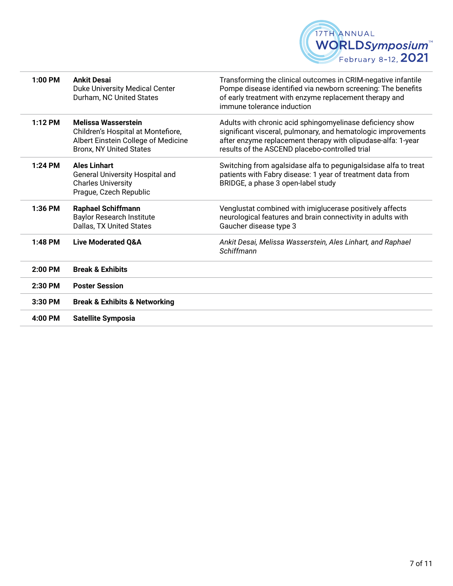

| 1:00 PM   | <b>Ankit Desai</b><br>Duke University Medical Center<br>Durham, NC United States                                                   | Transforming the clinical outcomes in CRIM-negative infantile<br>Pompe disease identified via newborn screening: The benefits<br>of early treatment with enzyme replacement therapy and<br>immune tolerance induction                        |
|-----------|------------------------------------------------------------------------------------------------------------------------------------|----------------------------------------------------------------------------------------------------------------------------------------------------------------------------------------------------------------------------------------------|
| $1:12$ PM | <b>Melissa Wasserstein</b><br>Children's Hospital at Montefiore,<br>Albert Einstein College of Medicine<br>Bronx, NY United States | Adults with chronic acid sphingomyelinase deficiency show<br>significant visceral, pulmonary, and hematologic improvements<br>after enzyme replacement therapy with olipudase-alfa: 1-year<br>results of the ASCEND placebo-controlled trial |
| $1:24$ PM | <b>Ales Linhart</b><br>General University Hospital and<br><b>Charles University</b><br>Prague, Czech Republic                      | Switching from agalsidase alfa to pegunigalsidase alfa to treat<br>patients with Fabry disease: 1 year of treatment data from<br>BRIDGE, a phase 3 open-label study                                                                          |
| $1:36$ PM | <b>Raphael Schiffmann</b><br><b>Baylor Research Institute</b><br>Dallas, TX United States                                          | Venglustat combined with imiglucerase positively affects<br>neurological features and brain connectivity in adults with<br>Gaucher disease type 3                                                                                            |
| $1:48$ PM | <b>Live Moderated Q&amp;A</b>                                                                                                      | Ankit Desai, Melissa Wasserstein, Ales Linhart, and Raphael<br>Schiffmann                                                                                                                                                                    |
| $2:00$ PM | <b>Break &amp; Exhibits</b>                                                                                                        |                                                                                                                                                                                                                                              |
| 2:30 PM   | <b>Poster Session</b>                                                                                                              |                                                                                                                                                                                                                                              |
| 3:30 PM   | <b>Break &amp; Exhibits &amp; Networking</b>                                                                                       |                                                                                                                                                                                                                                              |
| 4:00 PM   | <b>Satellite Symposia</b>                                                                                                          |                                                                                                                                                                                                                                              |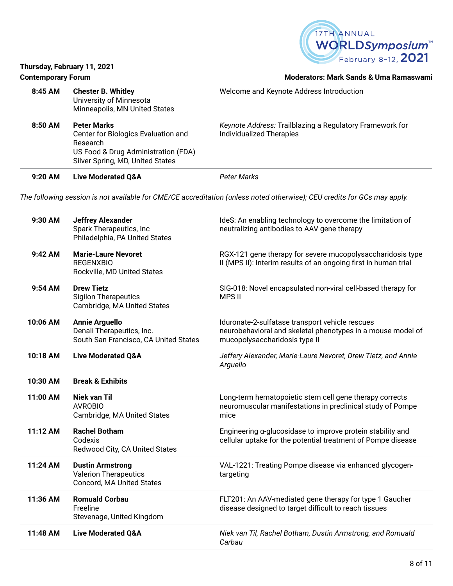

### **Thursday, February 11, 2021**

**Contemporary Forum Moderators: Mark Sands & Uma Ramaswami**

| 8:45 AM   | <b>Chester B. Whitley</b><br>University of Minnesota<br>Minneapolis, MN United States                                                            | Welcome and Keynote Address Introduction                                                    |
|-----------|--------------------------------------------------------------------------------------------------------------------------------------------------|---------------------------------------------------------------------------------------------|
| $8:50$ AM | <b>Peter Marks</b><br>Center for Biologics Evaluation and<br>Research<br>US Food & Drug Administration (FDA)<br>Silver Spring, MD, United States | Keynote Address: Trailblazing a Regulatory Framework for<br><b>Individualized Therapies</b> |
| $9:20$ AM | <b>Live Moderated Q&amp;A</b>                                                                                                                    | Peter Marks                                                                                 |

*The following session is not available for CME/CE accreditation (unless noted otherwise); CEU credits for GCs may apply.*

| 9:30 AM   | <b>Jeffrey Alexander</b><br>Spark Therapeutics, Inc<br>Philadelphia, PA United States       | IdeS: An enabling technology to overcome the limitation of<br>neutralizing antibodies to AAV gene therapy                                       |
|-----------|---------------------------------------------------------------------------------------------|-------------------------------------------------------------------------------------------------------------------------------------------------|
| 9:42 AM   | <b>Marie-Laure Nevoret</b><br><b>REGENXBIO</b><br>Rockville, MD United States               | RGX-121 gene therapy for severe mucopolysaccharidosis type<br>II (MPS II): Interim results of an ongoing first in human trial                   |
| $9:54$ AM | <b>Drew Tietz</b><br><b>Sigilon Therapeutics</b><br>Cambridge, MA United States             | SIG-018: Novel encapsulated non-viral cell-based therapy for<br><b>MPS II</b>                                                                   |
| 10:06 AM  | <b>Annie Arguello</b><br>Denali Therapeutics, Inc.<br>South San Francisco, CA United States | Iduronate-2-sulfatase transport vehicle rescues<br>neurobehavioral and skeletal phenotypes in a mouse model of<br>mucopolysaccharidosis type II |
| 10:18 AM  | <b>Live Moderated Q&amp;A</b>                                                               | Jeffery Alexander, Marie-Laure Nevoret, Drew Tietz, and Annie<br>Arguello                                                                       |
| 10:30 AM  | <b>Break &amp; Exhibits</b>                                                                 |                                                                                                                                                 |
| 11:00 AM  | <b>Niek van Til</b><br><b>AVROBIO</b><br>Cambridge, MA United States                        | Long-term hematopoietic stem cell gene therapy corrects<br>neuromuscular manifestations in preclinical study of Pompe<br>mice                   |
| 11:12 AM  | <b>Rachel Botham</b><br>Codexis<br>Redwood City, CA United States                           | Engineering a-glucosidase to improve protein stability and<br>cellular uptake for the potential treatment of Pompe disease                      |
| 11:24 AM  | <b>Dustin Armstrong</b><br><b>Valerion Therapeutics</b><br>Concord, MA United States        | VAL-1221: Treating Pompe disease via enhanced glycogen-<br>targeting                                                                            |
| 11:36 AM  | <b>Romuald Corbau</b><br>Freeline<br>Stevenage, United Kingdom                              | FLT201: An AAV-mediated gene therapy for type 1 Gaucher<br>disease designed to target difficult to reach tissues                                |
| 11:48 AM  | <b>Live Moderated Q&amp;A</b>                                                               | Niek van Til, Rachel Botham, Dustin Armstrong, and Romuald<br>Carbau                                                                            |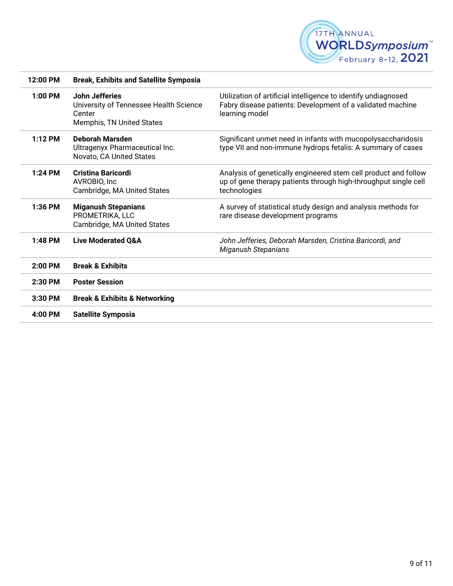

| 12:00 PM  | <b>Break, Exhibits and Satellite Symposia</b>                                                          |                                                                                                                                                    |
|-----------|--------------------------------------------------------------------------------------------------------|----------------------------------------------------------------------------------------------------------------------------------------------------|
| 1:00 PM   | <b>John Jefferies</b><br>University of Tennessee Health Science<br>Center<br>Memphis, TN United States | Utilization of artificial intelligence to identify undiagnosed<br>Fabry disease patients: Development of a validated machine<br>learning model     |
| $1:12$ PM | Deborah Marsden<br>Ultragenyx Pharmaceutical Inc.<br>Novato, CA United States                          | Significant unmet need in infants with mucopolysaccharidosis<br>type VII and non-immune hydrops fetalis: A summary of cases                        |
| 1:24 PM   | <b>Cristina Baricordi</b><br>AVROBIO, Inc<br>Cambridge, MA United States                               | Analysis of genetically engineered stem cell product and follow<br>up of gene therapy patients through high-throughput single cell<br>technologies |
| 1:36 PM   | <b>Miganush Stepanians</b><br>PROMETRIKA, LLC<br>Cambridge, MA United States                           | A survey of statistical study design and analysis methods for<br>rare disease development programs                                                 |
| 1:48 PM   | <b>Live Moderated Q&amp;A</b>                                                                          | John Jefferies, Deborah Marsden, Cristina Baricordi, and<br><b>Miganush Stepanians</b>                                                             |
| 2:00 PM   | <b>Break &amp; Exhibits</b>                                                                            |                                                                                                                                                    |
| 2:30 PM   | <b>Poster Session</b>                                                                                  |                                                                                                                                                    |
| 3:30 PM   | <b>Break &amp; Exhibits &amp; Networking</b>                                                           |                                                                                                                                                    |
| 4:00 PM   | <b>Satellite Symposia</b>                                                                              |                                                                                                                                                    |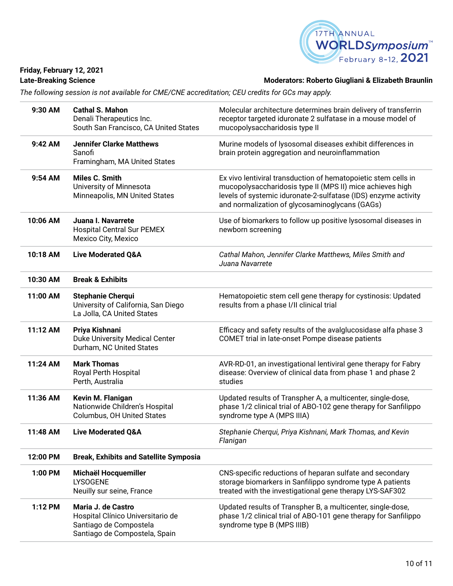

**Friday, February 12, 2021**

Late-Breaking Science **Moderators: Roberto Giugliani & Elizabeth Braunlin** 

*The following session is not available for CME/CNE accreditation; CEU credits for GCs may apply.*

| 9:30 AM  | <b>Cathal S. Mahon</b><br>Denali Therapeutics Inc.<br>South San Francisco, CA United States                        | Molecular architecture determines brain delivery of transferrin<br>receptor targeted iduronate 2 sulfatase in a mouse model of<br>mucopolysaccharidosis type II                                                                                 |
|----------|--------------------------------------------------------------------------------------------------------------------|-------------------------------------------------------------------------------------------------------------------------------------------------------------------------------------------------------------------------------------------------|
| 9:42 AM  | <b>Jennifer Clarke Matthews</b><br>Sanofi<br>Framingham, MA United States                                          | Murine models of lysosomal diseases exhibit differences in<br>brain protein aggregation and neuroinflammation                                                                                                                                   |
| 9:54 AM  | Miles C. Smith<br>University of Minnesota<br>Minneapolis, MN United States                                         | Ex vivo lentiviral transduction of hematopoietic stem cells in<br>mucopolysaccharidosis type II (MPS II) mice achieves high<br>levels of systemic iduronate-2-sulfatase (IDS) enzyme activity<br>and normalization of glycosaminoglycans (GAGs) |
| 10:06 AM | Juana I. Navarrete<br><b>Hospital Central Sur PEMEX</b><br>Mexico City, Mexico                                     | Use of biomarkers to follow up positive lysosomal diseases in<br>newborn screening                                                                                                                                                              |
| 10:18 AM | <b>Live Moderated Q&amp;A</b>                                                                                      | Cathal Mahon, Jennifer Clarke Matthews, Miles Smith and<br>Juana Navarrete                                                                                                                                                                      |
| 10:30 AM | <b>Break &amp; Exhibits</b>                                                                                        |                                                                                                                                                                                                                                                 |
| 11:00 AM | <b>Stephanie Cherqui</b><br>University of California, San Diego<br>La Jolla, CA United States                      | Hematopoietic stem cell gene therapy for cystinosis: Updated<br>results from a phase I/II clinical trial                                                                                                                                        |
| 11:12 AM | Priya Kishnani<br>Duke University Medical Center<br>Durham, NC United States                                       | Efficacy and safety results of the avalglucosidase alfa phase 3<br>COMET trial in late-onset Pompe disease patients                                                                                                                             |
| 11:24 AM | <b>Mark Thomas</b><br>Royal Perth Hospital<br>Perth, Australia                                                     | AVR-RD-01, an investigational lentiviral gene therapy for Fabry<br>disease: Overview of clinical data from phase 1 and phase 2<br>studies                                                                                                       |
| 11:36 AM | Kevin M. Flanigan<br>Nationwide Children's Hospital<br>Columbus, OH United States                                  | Updated results of Transpher A, a multicenter, single-dose,<br>phase 1/2 clinical trial of ABO-102 gene therapy for Sanfilippo<br>syndrome type A (MPS IIIA)                                                                                    |
| 11:48 AM | <b>Live Moderated Q&amp;A</b>                                                                                      | Stephanie Cherqui, Priya Kishnani, Mark Thomas, and Kevin<br>Flanigan                                                                                                                                                                           |
| 12:00 PM | <b>Break, Exhibits and Satellite Symposia</b>                                                                      |                                                                                                                                                                                                                                                 |
| 1:00 PM  | Michaël Hocquemiller<br><b>LYSOGENE</b><br>Neuilly sur seine, France                                               | CNS-specific reductions of heparan sulfate and secondary<br>storage biomarkers in Sanfilippo syndrome type A patients<br>treated with the investigational gene therapy LYS-SAF302                                                               |
| 1:12 PM  | Maria J. de Castro<br>Hospital Clínico Universitario de<br>Santiago de Compostela<br>Santiago de Compostela, Spain | Updated results of Transpher B, a multicenter, single-dose,<br>phase 1/2 clinical trial of ABO-101 gene therapy for Sanfilippo<br>syndrome type B (MPS IIIB)                                                                                    |